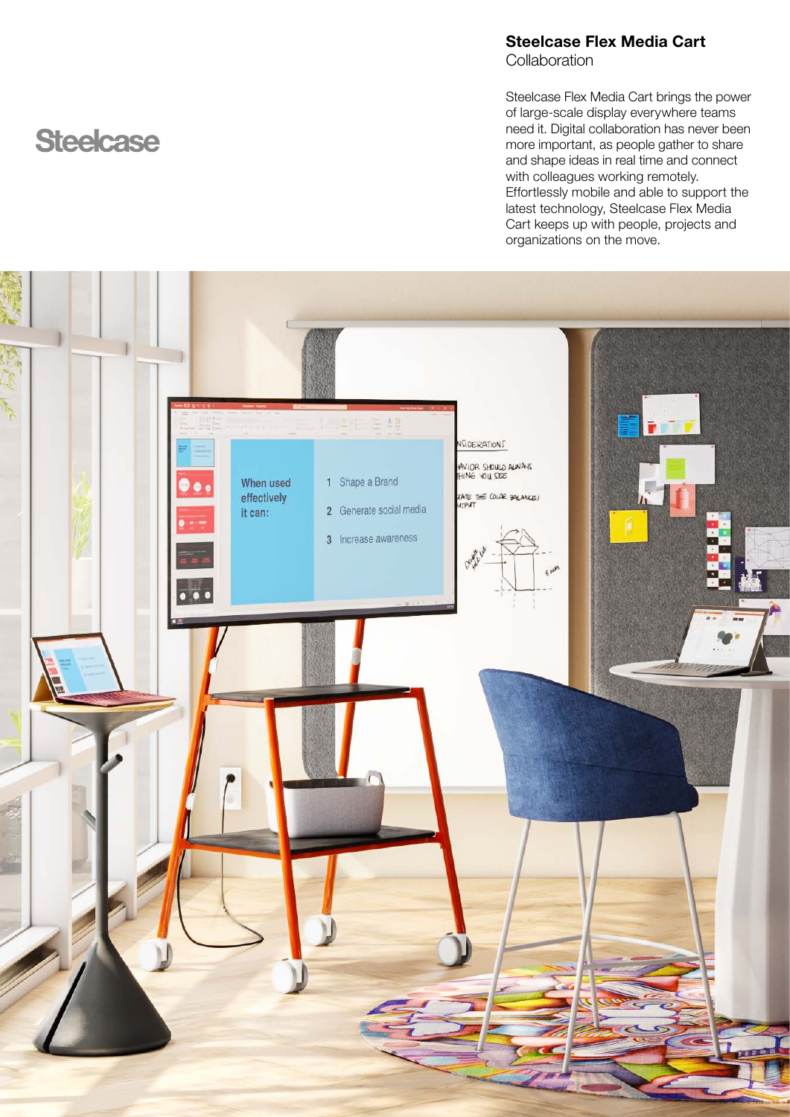## Steelcase Flex Media Cart **Collaboration**

Steelcase Flex Media Cart brings the power of large-scale display everywhere teams need it. Digital collaboration has never been more important, as people gather to share and shape ideas in real time and connect with colleagues working remotely. Effortlessly mobile and able to support the latest technology, Steelcase Flex Media Cart keeps up with people, projects and organizations on the move.



# **Steelcase**